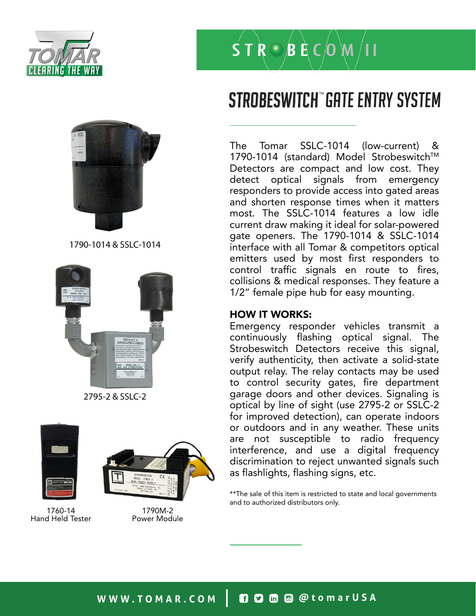



1790-1014 & SSLC-1014



2795-2 & SSLC-2



1760-14 Hand Held Tester



1790M-2 Power Module

## $S T R \odot B R C$   $O$   $M / 11$

### STROBESWITCH" GATE ENTRY SYSTEM

The Tomar SSLC-1014 (low-current) & 1790-1014 (standard) Model Strobeswitch™ Detectors are compact and low cost. They detect optical signals from emergency responders to provide access into gated areas and shorten response times when it matters most. The SSLC-1014 features a low idle current draw making it ideal for solar-powered gate openers. The 1790-1014 & SSLC-1014 interface with all Tomar & competitors optical emitters used by most first responders to control traffic signals en route to fires, collisions & medical responses. They feature a 1/2" female pipe hub for easy mounting.

### HOW IT WORKS:

Emergency responder vehicles transmit a continuously flashing optical signal. The Strobeswitch Detectors receive this signal, verify authenticity, then activate a solid-state output relay. The relay contacts may be used to control security gates, fire department garage doors and other devices. Signaling is optical by line of sight (use 2795-2 or SSLC-2 for improved detection), can operate indoors or outdoors and in any weather. These units are not susceptible to radio frequency interference, and use a digital frequency discrimination to reject unwanted signals such as flashlights, flashing signs, etc.

\*\*The sale of this item is restricted to state and local governments and to authorized distributors only.